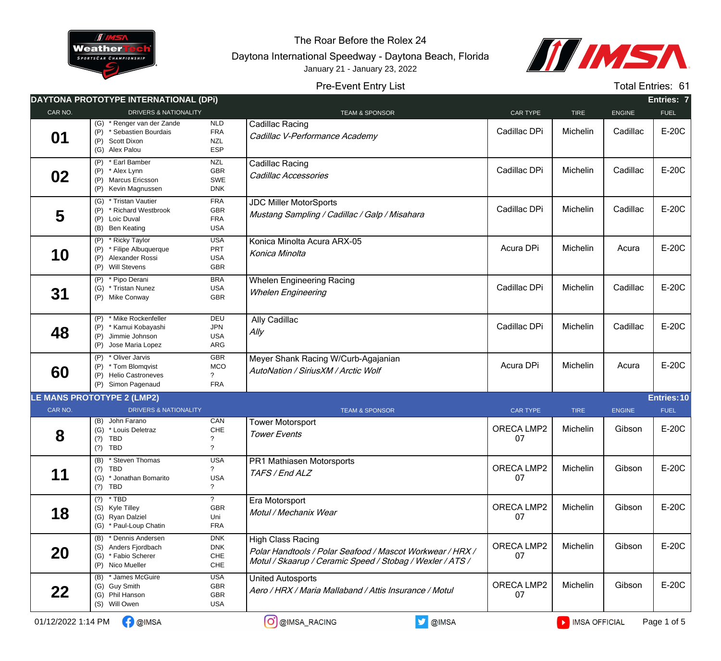

The Roar Before the Rolex 24

Daytona International Speedway - Daytona Beach, Florida January 21 - January 23, 2022



## Pre-Event Entry List

Total Entries: 61

|                    | DAYTONA PROTOTYPE INTERNATIONAL (DPI)                                                                |                                                      |                                                                                                                                                    |                         |               |               | Entries: 7  |
|--------------------|------------------------------------------------------------------------------------------------------|------------------------------------------------------|----------------------------------------------------------------------------------------------------------------------------------------------------|-------------------------|---------------|---------------|-------------|
| CAR NO.            | <b>DRIVERS &amp; NATIONALITY</b>                                                                     |                                                      | <b>TEAM &amp; SPONSOR</b>                                                                                                                          | CAR TYPE                | <b>TIRE</b>   | <b>ENGINE</b> | <b>FUEL</b> |
| 01                 | (G) * Renger van der Zande<br>* Sebastien Bourdais<br>(P)<br>(P) Scott Dixon<br>(G) Alex Palou       | NLD<br><b>FRA</b><br><b>NZL</b><br>ESP               | <b>Cadillac Racing</b><br>Cadillac V-Performance Academy                                                                                           | Cadillac DPi            | Michelin      | Cadillac      | E-20C       |
| 02                 | * Earl Bamber<br>(P)<br>(P) * Alex Lynn<br>(P) Marcus Ericsson<br>(P) Kevin Magnussen                | <b>NZL</b><br><b>GBR</b><br>SWE<br><b>DNK</b>        | Cadillac Racing<br>Cadillac Accessories                                                                                                            | Cadillac DPi            | Michelin      | Cadillac      | E-20C       |
| 5                  | (G) * Tristan Vautier<br>* Richard Westbrook<br>(P)<br>(P) Loic Duval<br>(B) Ben Keating             | <b>FRA</b><br><b>GBR</b><br><b>FRA</b><br><b>USA</b> | <b>JDC Miller MotorSports</b><br>Mustang Sampling / Cadillac / Galp / Misahara                                                                     | Cadillac DPi            | Michelin      | Cadillac      | E-20C       |
| 10                 | (P) * Ricky Taylor<br>(P)<br>* Filipe Albuquerque<br>(P) Alexander Rossi<br>(P) Will Stevens         | <b>USA</b><br>PRT<br><b>USA</b><br>GBR               | Konica Minolta Acura ARX-05<br>Konica Minolta                                                                                                      | Acura DPi               | Michelin      | Acura         | E-20C       |
| 31                 | * Pipo Derani<br>(P)<br>(G) * Tristan Nunez<br>(P) Mike Conway                                       | <b>BRA</b><br><b>USA</b><br>GBR                      | <b>Whelen Engineering Racing</b><br><b>Whelen Engineering</b>                                                                                      | Cadillac DPi            | Michelin      | Cadillac      | E-20C       |
| 48                 | (P) * Mike Rockenfeller<br>* Kamui Kobayashi<br>(P)<br>(P) Jimmie Johnson<br>Jose Maria Lopez<br>(P) | DEU<br><b>JPN</b><br><b>USA</b><br>ARG               | Ally Cadillac<br>Ally                                                                                                                              | Cadillac DPi            | Michelin      | Cadillac      | E-20C       |
| 60                 | (P) * Oliver Jarvis<br>(P) * Tom Blomqvist<br>(P) Helio Castroneves<br>(P) Simon Pagenaud            | <b>GBR</b><br>MCO<br>$\gamma$<br><b>FRA</b>          | Meyer Shank Racing W/Curb-Agajanian<br>AutoNation / SiriusXM / Arctic Wolf                                                                         | Acura DPi               | Michelin      | Acura         | E-20C       |
|                    | <b>LE MANS PROTOTYPE 2 (LMP2)</b>                                                                    |                                                      |                                                                                                                                                    |                         |               |               | Entries: 10 |
| CAR NO.            | <b>DRIVERS &amp; NATIONALITY</b>                                                                     |                                                      | <b>TEAM &amp; SPONSOR</b>                                                                                                                          | <b>CAR TYPE</b>         | <b>TIRE</b>   | <b>ENGINE</b> | <b>FUEL</b> |
| 8                  | (B) John Farano<br>(G) * Louis Deletraz<br>(?)<br>TBD<br>$(?)$ TBD                                   | CAN<br>CHE<br>$\gamma$                               | <b>Tower Motorsport</b><br><b>Tower Events</b>                                                                                                     | ORECA LMP2<br>07        | Michelin      | Gibson        | E-20C       |
| 11                 | (B) * Steven Thomas<br>$(?)$ TBD<br>(G) * Jonathan Bomarito<br>$(?)$ TBD                             | <b>USA</b><br>?<br><b>USA</b><br>$\overline{?}$      | <b>PR1 Mathiasen Motorsports</b><br>TAFS / End ALZ                                                                                                 | <b>ORECA LMP2</b><br>07 | Michelin      | Gibson        | E-20C       |
| 18                 | $(?)$ * TBD<br>(S) Kyle Tilley<br>(G) Ryan Dalziel<br>(G) * Paul-Loup Chatin                         | $\gamma$<br>GBR<br>Uni<br><b>FRA</b>                 | Era Motorsport<br>Motul / Mechanix Wear                                                                                                            | <b>ORECA LMP2</b><br>07 | Michelin      | Gibson        | E-20C       |
| 20                 | (B) * Dennis Andersen<br>(S) Anders Fjordbach<br>(G) * Fabio Scherer<br>(P) Nico Mueller             | <b>DNK</b><br><b>DNK</b><br>${\sf CHE}$<br>$CHE$     | <b>High Class Racing</b><br>Polar Handtools / Polar Seafood / Mascot Workwear / HRX /<br>Motul / Skaarup / Ceramic Speed / Stobag / Wexler / ATS / | ORECA LMP2<br>07        | Michelin      | Gibson        | E-20C       |
| 22                 | (B) * James McGuire<br>(G) Guy Smith<br>(G) Phil Hanson<br>(S) Will Owen                             | USA<br>GBR<br>GBR<br>USA                             | <b>United Autosports</b><br>Aero / HRX / Maria Mallaband / Attis Insurance / Motul                                                                 | ORECA LMP2<br>07        | Michelin      | Gibson        | E-20C       |
| 01/12/2022 1:14 PM | <b>D</b> @IMSA                                                                                       |                                                      | <b>V</b> @IMSA<br>O @IMSA_RACING                                                                                                                   |                         | MISA OFFICIAL |               | Page 1 of 5 |

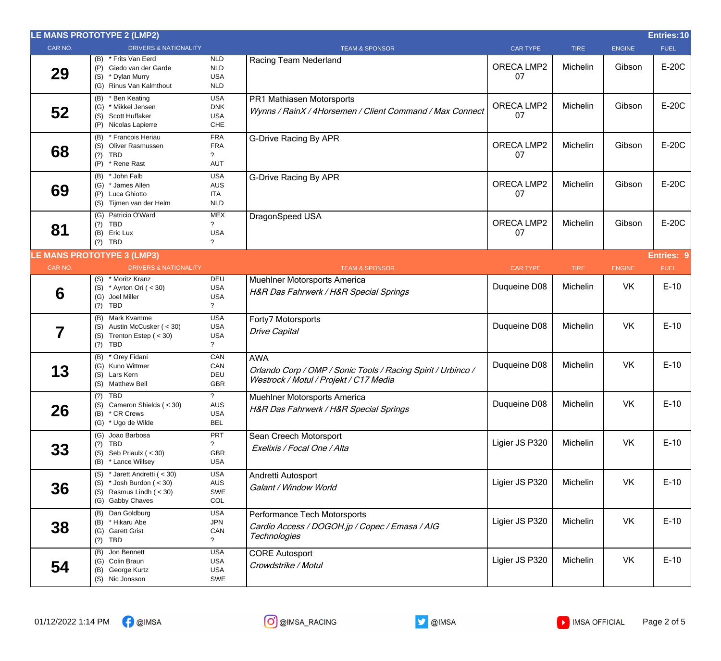|         | LE MANS PROTOTYPE 2 (LMP2)                                                                                    |                                                       |                                                                                                                      |                         |             |               | <b>Entries: 10</b> |
|---------|---------------------------------------------------------------------------------------------------------------|-------------------------------------------------------|----------------------------------------------------------------------------------------------------------------------|-------------------------|-------------|---------------|--------------------|
| CAR NO. | <b>DRIVERS &amp; NATIONALITY</b>                                                                              |                                                       | <b>TEAM &amp; SPONSOR</b>                                                                                            | <b>CAR TYPE</b>         | <b>TIRE</b> | <b>ENGINE</b> | <b>FUEL</b>        |
| 29      | (B) * Frits Van Eerd<br>(P) Giedo van der Garde<br>(S) * Dylan Murry<br>(G) Rinus Van Kalmthout               | <b>NLD</b><br><b>NLD</b><br><b>USA</b><br><b>NLD</b>  | Racing Team Nederland                                                                                                | ORECA LMP2<br>07        | Michelin    | Gibson        | E-20C              |
| 52      | (B) * Ben Keating<br>(G) * Mikkel Jensen<br>(S) Scott Huffaker<br>(P) Nicolas Lapierre                        | <b>USA</b><br><b>DNK</b><br><b>USA</b><br>CHE         | PR1 Mathiasen Motorsports<br>Wynns / RainX / 4Horsemen / Client Command / Max Connect                                | ORECA LMP2<br>07        | Michelin    | Gibson        | E-20C              |
| 68      | (B) * Francois Heriau<br>(S) Oliver Rasmussen<br>$(?)$ TBD<br>(P) * Rene Rast                                 | <b>FRA</b><br><b>FRA</b><br>AUT                       | <b>G-Drive Racing By APR</b>                                                                                         | ORECA LMP2<br>07        | Michelin    | Gibson        | E-20C              |
| 69      | (B) * John Falb<br>(G) * James Allen<br>(P) Luca Ghiotto<br>(S) Tijmen van der Helm                           | <b>USA</b><br><b>AUS</b><br><b>ITA</b><br><b>NLD</b>  | <b>G-Drive Racing By APR</b>                                                                                         | <b>ORECA LMP2</b><br>07 | Michelin    | Gibson        | E-20C              |
| 81      | (G) Patricio O'Ward<br>$(?)$ TBD<br>(B) Eric Lux<br>$(?)$ TBD                                                 | MEX<br><b>USA</b><br>?                                | DragonSpeed USA                                                                                                      | ORECA LMP2<br>07        | Michelin    | Gibson        | E-20C              |
|         | <b>LE MANS PROTOTYPE 3 (LMP3)</b>                                                                             |                                                       |                                                                                                                      |                         |             |               | <b>Entries: 9</b>  |
| CAR NO. | <b>DRIVERS &amp; NATIONALITY</b>                                                                              |                                                       | <b>TEAM &amp; SPONSOR</b>                                                                                            | <b>CAR TYPE</b>         | <b>TIRE</b> | <b>ENGINE</b> | <b>FUEL</b>        |
| 6       | * Moritz Kranz<br>(S)<br>(S) * Ayrton Ori ( $<$ 30)<br>(G) Joel Miller<br>$(?)$ TBD                           | DEU<br><b>USA</b><br><b>USA</b><br>$\tilde{?}$        | Muehlner Motorsports America<br>H&R Das Fahrwerk / H&R Special Springs                                               | Duqueine D08            | Michelin    | VK            | $E-10$             |
| 7       | (B) Mark Kvamme<br>(S) Austin McCusker (< 30)<br>(S) Trenton Estep $(30)$<br>$(?)$ TBD                        | <b>USA</b><br><b>USA</b><br><b>USA</b><br>$\tilde{?}$ | Forty7 Motorsports<br><b>Drive Capital</b>                                                                           | Duqueine D08            | Michelin    | <b>VK</b>     | $E-10$             |
| 13      | (B) * Orey Fidani<br>(G) Kuno Wittmer<br>(S) Lars Kern<br>(S) Matthew Bell                                    | CAN<br>CAN<br>DEU<br><b>GBR</b>                       | <b>AWA</b><br>Orlando Corp / OMP / Sonic Tools / Racing Spirit / Urbinco /<br>Westrock / Motul / Projekt / C17 Media | Duqueine D08            | Michelin    | <b>VK</b>     | $E-10$             |
| 26      | $(?)$ TBD<br>(S) Cameron Shields ( < 30)<br>(B) * CR Crews<br>(G) * Ugo de Wilde                              | $\tilde{?}$<br>AUS<br><b>USA</b><br><b>BEL</b>        | Muehlner Motorsports America<br>H&R Das Fahrwerk / H&R Special Springs                                               | Duqueine D08            | Michelin    | VK            | $E-10$             |
| 33      | (G) Joao Barbosa<br>$(?)$ TBD<br>(S) Seb Priaulx $(30)$<br>(B) * Lance Willsey                                | <b>PRT</b><br>$\mathcal{P}$<br>GBR<br><b>USA</b>      | Sean Creech Motorsport<br>Exelixis / Focal One / Alta                                                                | Ligier JS P320          | Michelin    | <b>VK</b>     | $E-10$             |
| 36      | (S) * Jarett Andretti (< 30)<br>(S) $*$ Josh Burdon ( < 30)<br>(S) Rasmus Lindh $( < 30)$<br>(G) Gabby Chaves | <b>USA</b><br>AUS<br>SWE<br>COL                       | Andretti Autosport<br>Galant / Window World                                                                          | Ligier JS P320          | Michelin    | <b>VK</b>     | $E-10$             |
| 38      | (B) Dan Goldburg<br>(B) * Hikaru Abe<br>(G) Garett Grist<br>$(?)$ TBD                                         | <b>USA</b><br><b>JPN</b><br>CAN<br>$\gamma$           | Performance Tech Motorsports<br>Cardio Access / DOGOH.jp / Copec / Emasa / AIG<br><b>Technologies</b>                | Ligier JS P320          | Michelin    | VK            | $E-10$             |
| 54      | (B) Jon Bennett<br>(G) Colin Braun<br>(B) George Kurtz<br>(S) Nic Jonsson                                     | <b>USA</b><br><b>USA</b><br>USA<br>SWE                | <b>CORE Autosport</b><br>Crowdstrike / Motul                                                                         | Ligier JS P320          | Michelin    | VK            | $E-10$             |



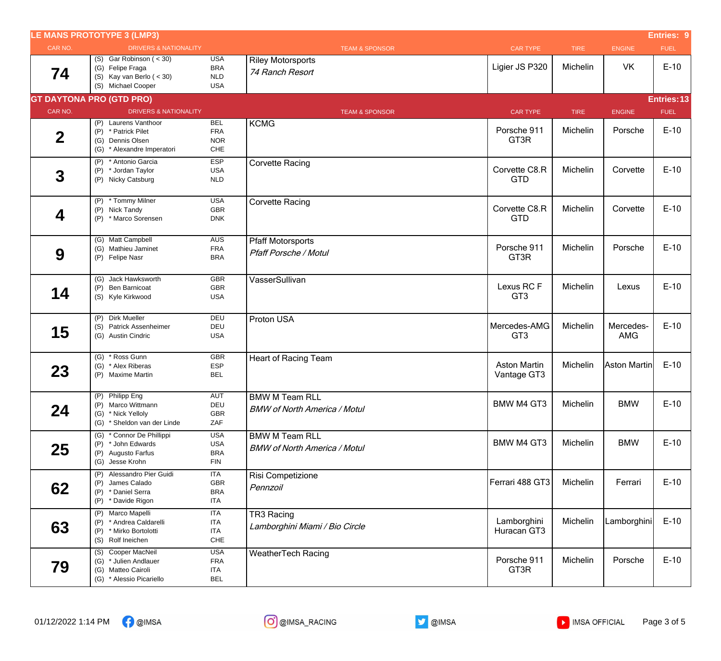|                  | <b>LE MANS PROTOTYPE 3 (LMP3)</b>                                                               |                                                      |                                                              |                                    |             |                         | <b>Entries: 9</b> |
|------------------|-------------------------------------------------------------------------------------------------|------------------------------------------------------|--------------------------------------------------------------|------------------------------------|-------------|-------------------------|-------------------|
| CAR NO.          | <b>DRIVERS &amp; NATIONALITY</b>                                                                |                                                      | <b>TEAM &amp; SPONSOR</b>                                    | <b>CAR TYPE</b>                    | <b>TIRE</b> | <b>ENGINE</b>           | <b>FUEL</b>       |
| 74               | $(S)$ Gar Robinson $(30)$<br>(G) Felipe Fraga<br>(S) Kay van Berlo $(30)$<br>(S) Michael Cooper | <b>USA</b><br><b>BRA</b><br><b>NLD</b><br><b>USA</b> | <b>Riley Motorsports</b><br>74 Ranch Resort                  | Ligier JS P320                     | Michelin    | VK                      | $E-10$            |
|                  | <b>GT DAYTONA PRO (GTD PRO)</b>                                                                 |                                                      |                                                              |                                    |             |                         | Entries: 13       |
| CAR NO.          | <b>DRIVERS &amp; NATIONALITY</b>                                                                |                                                      | <b>TEAM &amp; SPONSOR</b>                                    | <b>CAR TYPE</b>                    | <b>TIRE</b> | <b>ENGINE</b>           | <b>FUEL</b>       |
| $\boldsymbol{2}$ | (P) Laurens Vanthoor<br>(P) * Patrick Pilet<br>(G) Dennis Olsen<br>(G) * Alexandre Imperatori   | <b>BEL</b><br><b>FRA</b><br><b>NOR</b><br>CHE        | <b>KCMG</b>                                                  | Porsche 911<br>GT3R                | Michelin    | Porsche                 | $E-10$            |
| $\boldsymbol{3}$ | (P) * Antonio Garcia<br>(P) * Jordan Taylor<br>(P) Nicky Catsburg                               | <b>ESP</b><br><b>USA</b><br><b>NLD</b>               | <b>Corvette Racing</b>                                       | Corvette C8.R<br><b>GTD</b>        | Michelin    | Corvette                | $E-10$            |
| 4                | (P) * Tommy Milner<br>(P) Nick Tandy<br>* Marco Sorensen<br>(P)                                 | <b>USA</b><br>GBR<br><b>DNK</b>                      | <b>Corvette Racing</b>                                       | Corvette C8.R<br><b>GTD</b>        | Michelin    | Corvette                | $E-10$            |
| 9                | (G) Matt Campbell<br>(G) Mathieu Jaminet<br>(P) Felipe Nasr                                     | <b>AUS</b><br><b>FRA</b><br><b>BRA</b>               | <b>Pfaff Motorsports</b><br><b>Pfaff Porsche / Motul</b>     | Porsche 911<br>GT3R                | Michelin    | Porsche                 | $E-10$            |
| 14               | (G) Jack Hawksworth<br>(P) Ben Barnicoat<br>(S) Kyle Kirkwood                                   | <b>GBR</b><br><b>GBR</b><br><b>USA</b>               | VasserSullivan                                               | Lexus RCF<br>GT <sub>3</sub>       | Michelin    | Lexus                   | $E-10$            |
| 15               | (P) Dirk Mueller<br>(S) Patrick Assenheimer<br>(G) Austin Cindric                               | <b>DEU</b><br>DEU<br><b>USA</b>                      | Proton USA                                                   | Mercedes-AMG<br>GT <sub>3</sub>    | Michelin    | Mercedes-<br><b>AMG</b> | $E-10$            |
| 23               | (G) * Ross Gunn<br>(G) * Alex Riberas<br>(P) Maxime Martin                                      | <b>GBR</b><br>ESP<br><b>BEL</b>                      | <b>Heart of Racing Team</b>                                  | <b>Aston Martin</b><br>Vantage GT3 | Michelin    | Aston Martin            | $E-10$            |
| 24               | (P) Philipp Eng<br>(P) Marco Wittmann<br>(G) * Nick Yelloly<br>(G) * Sheldon van der Linde      | <b>AUT</b><br>DEU<br>GBR<br>ZAF                      | <b>BMW M Team RLL</b><br><b>BMW of North America / Motul</b> | BMW M4 GT3                         | Michelin    | <b>BMW</b>              | $E-10$            |
| 25               | (G) * Connor De Phillippi<br>(P) * John Edwards<br>(P) Augusto Farfus<br>(G) Jesse Krohn        | <b>USA</b><br><b>USA</b><br><b>BRA</b><br><b>FIN</b> | <b>BMW M Team RLL</b><br><b>BMW of North America / Motul</b> | <b>BMW M4 GT3</b>                  | Michelin    | <b>BMW</b>              | $E-10$            |
| 62               | (P) Alessandro Pier Guidi<br>(P) James Calado<br>(P) * Daniel Serra<br>(P) * Davide Rigon       | <b>ITA</b><br>GBR<br><b>BRA</b><br>ITA               | Risi Competizione<br>Pennzoil                                | Ferrari 488 GT3                    | Michelin    | Ferrari                 | $E-10$            |
| 63               | (P) Marco Mapelli<br>(P) * Andrea Caldarelli<br>(P) * Mirko Bortolotti<br>(S) Rolf Ineichen     | <b>ITA</b><br>ITA<br><b>ITA</b><br>CHE               | TR3 Racing<br>Lamborghini Miami / Bio Circle                 | Lamborghini<br>Huracan GT3         | Michelin    | Lamborghini             | $E-10$            |
| 79               | (S) Cooper MacNeil<br>(G) * Julien Andlauer<br>(G) Matteo Cairoli<br>(G) * Alessio Picariello   | <b>USA</b><br><b>FRA</b><br><b>ITA</b><br><b>BEL</b> | <b>WeatherTech Racing</b>                                    | Porsche 911<br>GT3R                | Michelin    | Porsche                 | $E-10$            |

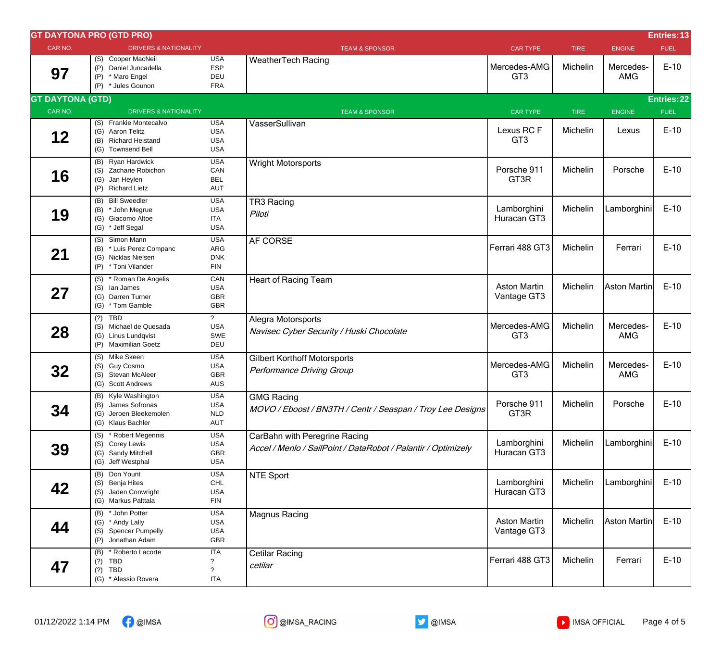|                         | <b>GT DAYTONA PRO (GTD PRO)</b><br><b>Entries: 13</b>                                       |                                                      |                                                                                                |                                    |             |                         |                   |  |
|-------------------------|---------------------------------------------------------------------------------------------|------------------------------------------------------|------------------------------------------------------------------------------------------------|------------------------------------|-------------|-------------------------|-------------------|--|
| CAR NO.                 | <b>DRIVERS &amp; NATIONALITY</b>                                                            |                                                      | <b>TEAM &amp; SPONSOR</b>                                                                      | <b>CAR TYPE</b>                    | <b>TIRE</b> | <b>ENGINE</b>           | <b>FUEL</b>       |  |
| 97                      | (S) Cooper MacNeil<br>(P) Daniel Juncadella<br>* Maro Engel<br>(P)<br>(P) * Jules Gounon    | <b>USA</b><br><b>ESP</b><br>DEU<br><b>FRA</b>        | <b>WeatherTech Racing</b>                                                                      | Mercedes-AMG<br>GT <sub>3</sub>    | Michelin    | Mercedes-<br><b>AMG</b> | $E-10$            |  |
| <b>GT DAYTONA (GTD)</b> |                                                                                             |                                                      |                                                                                                |                                    |             |                         | <b>Entries:22</b> |  |
| CAR NO.                 | <b>DRIVERS &amp; NATIONALITY</b>                                                            |                                                      | <b>TEAM &amp; SPONSOR</b>                                                                      | <b>CAR TYPE</b>                    | <b>TIRE</b> | <b>ENGINE</b>           | <b>FUEL</b>       |  |
| 12                      | (S) Frankie Montecalvo<br>(G) Aaron Telitz<br>(B) Richard Heistand<br>(G) Townsend Bell     | <b>USA</b><br><b>USA</b><br><b>USA</b><br><b>USA</b> | VasserSullivan                                                                                 | Lexus RC F<br>GT <sub>3</sub>      | Michelin    | Lexus                   | $E-10$            |  |
| 16                      | (B) Ryan Hardwick<br>(S) Zacharie Robichon<br>(G) Jan Heylen<br>(P) Richard Lietz           | <b>USA</b><br>CAN<br><b>BEL</b><br><b>AUT</b>        | <b>Wright Motorsports</b>                                                                      | Porsche 911<br>GT3R                | Michelin    | Porsche                 | $E-10$            |  |
| 19                      | (B) Bill Sweedler<br>(B) * John Megrue<br>(G) Giacomo Altoe<br>(G) * Jeff Segal             | <b>USA</b><br><b>USA</b><br><b>ITA</b><br><b>USA</b> | TR3 Racing<br>Piloti                                                                           | Lamborghini<br>Huracan GT3         | Michelin    | Lamborghini             | $E-10$            |  |
| 21                      | Simon Mann<br>(S)<br>(B) * Luis Perez Companc<br>(G) Nicklas Nielsen<br>(P) * Toni Vilander | <b>USA</b><br>ARG<br><b>DNK</b><br><b>FIN</b>        | AF CORSE                                                                                       | Ferrari 488 GT3                    | Michelin    | Ferrari                 | $E-10$            |  |
| 27                      | (S) * Roman De Angelis<br>(S) lan James<br>(G) Darren Turner<br>(G) * Tom Gamble            | CAN<br><b>USA</b><br>GBR<br>GBR                      | <b>Heart of Racing Team</b>                                                                    | <b>Aston Martin</b><br>Vantage GT3 | Michelin    | Aston Martin            | $E-10$            |  |
| 28                      | $(?)$ TBD<br>(S) Michael de Quesada<br>(G) Linus Lundqvist<br>(P) Maximilian Goetz          | $\overline{?}$<br><b>USA</b><br>SWE<br>DEU           | Alegra Motorsports<br>Navisec Cyber Security / Huski Chocolate                                 | Mercedes-AMG<br>GT <sub>3</sub>    | Michelin    | Mercedes-<br><b>AMG</b> | $E-10$            |  |
| 32                      | (S) Mike Skeen<br>(S) Guy Cosmo<br>(S) Stevan McAleer<br>(G) Scott Andrews                  | <b>USA</b><br><b>USA</b><br>GBR<br>AUS               | <b>Gilbert Korthoff Motorsports</b><br><b>Performance Driving Group</b>                        | Mercedes-AMG<br>GT <sub>3</sub>    | Michelin    | Mercedes-<br><b>AMG</b> | $E-10$            |  |
| 34                      | (B) Kyle Washington<br>(B) James Sofronas<br>(G) Jeroen Bleekemolen<br>(G) Klaus Bachler    | <b>USA</b><br><b>USA</b><br><b>NLD</b><br>AUT        | <b>GMG Racing</b><br>MOVO / Eboost / BN3TH / Centr / Seaspan / Troy Lee Designs                | Porsche 911<br>GT3R                | Michelin    | Porsche                 | $E-10$            |  |
| 39                      | (S) * Robert Megennis<br>(S) Corey Lewis<br>(G) Sandy Mitchell<br>(G) Jeff Westphal         | <b>USA</b><br><b>USA</b><br>GBR<br>USA               | CarBahn with Peregrine Racing<br>Accel / Menlo / SailPoint / DataRobot / Palantir / Optimizely | Lamborghini<br>Huracan GT3         | Michelin    | Lamborghini             | $E-10$            |  |
| 42                      | (B) Don Yount<br>(S) Benja Hites<br>(S) Jaden Conwright<br>(G) Markus Palttala              | <b>USA</b><br><b>CHL</b><br><b>USA</b><br><b>FIN</b> | <b>NTE Sport</b>                                                                               | Lamborghini<br>Huracan GT3         | Michelin    | Lamborghini             | $E-10$            |  |
| 44                      | (B) * John Potter<br>(G) * Andy Lally<br>(S) Spencer Pumpelly<br>(P) Jonathan Adam          | <b>USA</b><br><b>USA</b><br>USA<br>GBR               | <b>Magnus Racing</b>                                                                           | <b>Aston Martin</b><br>Vantage GT3 | Michelin    | Aston Martin            | $E-10$            |  |
| 47                      | (B) * Roberto Lacorte<br>$(?)$ TBD<br>TBD<br>(?)<br>(G) * Alessio Rovera                    | <b>ITA</b><br>$\gamma$<br><b>ITA</b>                 | Cetilar Racing<br>cetilar                                                                      | Ferrari 488 GT3                    | Michelin    | Ferrari                 | $E-10$            |  |